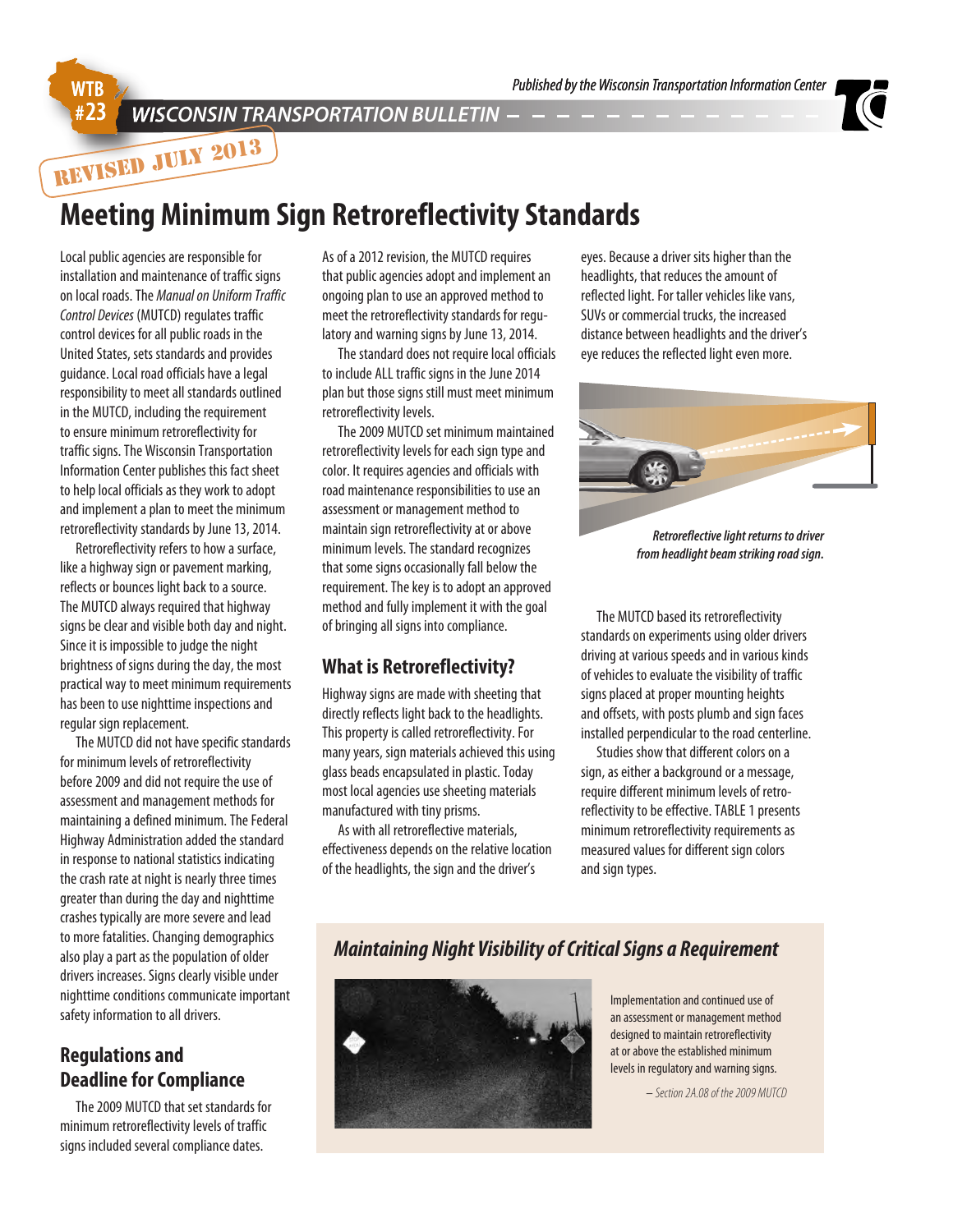# **WISCONSIN TRANSPORTATION BULLETIN**  $-$  -  $-$  -  $-$  -  $-$



**REVISED JULY 2013**

# **Meeting Minimum Sign Retroreflectivity Standards**

Local public agencies are responsible for installation and maintenance of traffic signs on local roads. The *Manual on Uniform Traffic Control Devices* (MUTCD) regulates traffic control devices for all public roads in the United States, sets standards and provides guidance. Local road officials have a legal responsibility to meet all standards outlined in the MUTCD, including the requirement to ensure minimum retroreflectivity for traffic signs. The Wisconsin Transportation Information Center publishes this fact sheet to help local officials as they work to adopt and implement a plan to meet the minimum retroreflectivity standards by June 13, 2014.

Retroreflectivity refers to how a surface, like a highway sign or pavement marking, reflects or bounces light back to a source. The MUTCD always required that highway signs be clear and visible both day and night. Since it is impossible to judge the night brightness of signs during the day, the most practical way to meet minimum requirements has been to use nighttime inspections and regular sign replacement.

The MUTCD did not have specific standards for minimum levels of retroreflectivity before 2009 and did not require the use of assessment and management methods for maintaining a defined minimum. The Federal Highway Administration added the standard in response to national statistics indicating the crash rate at night is nearly three times greater than during the day and nighttime crashes typically are more severe and lead to more fatalities. Changing demographics also play a part as the population of older drivers increases. Signs clearly visible under nighttime conditions communicate important safety information to all drivers.

## **Regulations and Deadline for Compliance**

The 2009 MUTCD that set standards for minimum retroreflectivity levels of traffic signs included several compliance dates.

As of a 2012 revision, the MUTCD requires that public agencies adopt and implement an ongoing plan to use an approved method to meet the retroreflectivity standards for regulatory and warning signs by June 13, 2014.

The standard does not require local officials to include ALL traffic signs in the June 2014 plan but those signs still must meet minimum retroreflectivity levels.

The 2009 MUTCD set minimum maintained retroreflectivity levels for each sign type and color. It requires agencies and officials with road maintenance responsibilities to use an assessment or management method to maintain sign retroreflectivity at or above minimum levels. The standard recognizes that some signs occasionally fall below the requirement. The key is to adopt an approved method and fully implement it with the goal of bringing all signs into compliance.

# **What is Retroreflectivity?**

Highway signs are made with sheeting that directly reflects light back to the headlights. This property is called retroreflectivity. For many years, sign materials achieved this using glass beads encapsulated in plastic. Today most local agencies use sheeting materials manufactured with tiny prisms.

As with all retroreflective materials, effectiveness depends on the relative location of the headlights, the sign and the driver's

eyes. Because a driver sits higher than the headlights, that reduces the amount of reflected light. For taller vehicles like vans, SUVs or commercial trucks, the increased distance between headlights and the driver's eye reduces the reflected light even more.



*Retroreflective light returns to driver from headlight beam striking road sign.*

The MUTCD based its retroreflectivity standards on experiments using older drivers driving at various speeds and in various kinds of vehicles to evaluate the visibility of traffic signs placed at proper mounting heights and offsets, with posts plumb and sign faces installed perpendicular to the road centerline.

Studies show that different colors on a sign, as either a background or a message, require different minimum levels of retroreflectivity to be effective. TABLE 1 presents minimum retroreflectivity requirements as measured values for different sign colors and sign types.

# *Maintaining Night Visibility of Critical Signs a Requirement*



Implementation and continued use of an assessment or management method designed to maintain retroreflectivity at or above the established minimum levels in regulatory and warning signs.

– *Section 2A.08 of the 2009 MUTCD*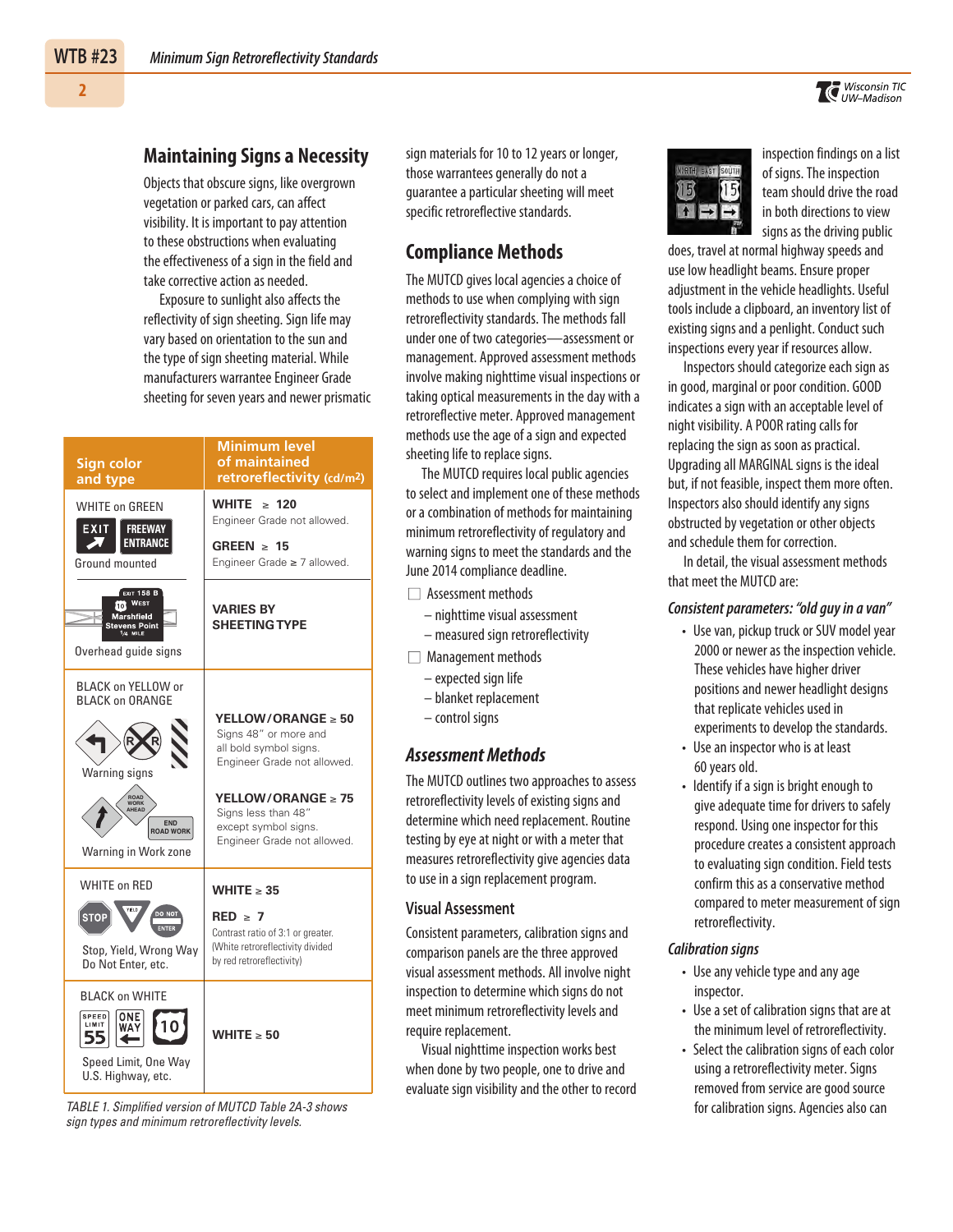### **Maintaining Signs a Necessity**

Objects that obscure signs, like overgrown vegetation or parked cars, can affect visibility. It is important to pay attention to these obstructions when evaluating the effectiveness of a sign in the field and take corrective action as needed.

Exposure to sunlight also affects the reflectivity of sign sheeting. Sign life may vary based on orientation to the sun and the type of sign sheeting material. While manufacturers warrantee Engineer Grade sheeting for seven years and newer prismatic

| Sign color<br>and type                                                                                                                                         | <b>Minimum level</b><br>of maintained<br>retroreflectivity (cd/m <sup>2</sup> )                                                                                                                                    |
|----------------------------------------------------------------------------------------------------------------------------------------------------------------|--------------------------------------------------------------------------------------------------------------------------------------------------------------------------------------------------------------------|
| <b>WHITE on GREEN</b><br><b>FREEWAY</b><br>EXIT<br><b>ENTRANCE</b><br>Ground mounted                                                                           | <b>WHITE</b><br>$\geq 120$<br>Engineer Grade not allowed.<br>GREEN $\geq$ 15<br>Engineer Grade ≥ 7 allowed.                                                                                                        |
| <b>EXIT 158 B</b><br><b>TO</b> WEST<br>Marshfield<br><b>Stevens Point</b><br>$1/4$ MILE<br>Overhead quide signs                                                | <b>VARIES BY</b><br><b>SHEETING TYPE</b>                                                                                                                                                                           |
| <b>BLACK on YELLOW or</b><br><b>BLACK on ORANGE</b><br>Warning signs<br>ROAD<br><b>WORK</b><br>AHEAD<br><b>FND</b><br><b>ROAD WORK</b><br>Warning in Work zone | YELLOW/ORANGE $\geq 50$<br>Signs 48" or more and<br>all bold symbol signs.<br>Engineer Grade not allowed.<br>YELLOW/ORANGE $\geq 75$<br>Signs less than 48"<br>except symbol signs.<br>Engineer Grade not allowed. |
| <b>WHITE on RED</b><br>DO NO<br><b>STOP</b><br>ENTER<br>Stop, Yield, Wrong Way<br>Do Not Enter, etc.                                                           | WHITE $\geq 35$<br>$RED \geq 7$<br>Contrast ratio of 3:1 or greater.<br>(White retroreflectivity divided<br>by red retroreflectivity)                                                                              |
| <b>BLACK on WHITE</b><br>SPEED<br>ONE<br>LIMIT<br>Speed Limit, One Way<br>U.S. Highway, etc.                                                                   | WHITE $\geq 50$                                                                                                                                                                                                    |

TABLE 1. Simplified version of MUTCD Table 2A-3 shows sign types and minimum retroreflectivity levels.

sign materials for 10 to 12 years or longer, those warrantees generally do not a guarantee a particular sheeting will meet specific retroreflective standards.

# **Compliance Methods**

The MUTCD gives local agencies a choice of methods to use when complying with sign retroreflectivity standards. The methods fall under one of two categories—assessment or management. Approved assessment methods involve making nighttime visual inspections or taking optical measurements in the day with a retroreflective meter. Approved management methods use the age of a sign and expected sheeting life to replace signs.

The MUTCD requires local public agencies to select and implement one of these methods or a combination of methods for maintaining minimum retroreflectivity of regulatory and warning signs to meet the standards and the June 2014 compliance deadline.

- $\Box$  Assessment methods
	- nighttime visual assessment
	- measured sign retroreflectivity

 $\Box$  Management methods

- expected sign life
- blanket replacement
- control signs

### *Assessment Methods*

The MUTCD outlines two approaches to assess retroreflectivity levels of existing signs and determine which need replacement. Routine testing by eye at night or with a meter that measures retroreflectivity give agencies data to use in a sign replacement program.

#### **Visual Assessment**

Consistent parameters, calibration signs and comparison panels are the three approved visual assessment methods. All involve night inspection to determine which signs do not meet minimum retroreflectivity levels and require replacement.

Visual nighttime inspection works best when done by two people, one to drive and evaluate sign visibility and the other to record  $15($ 

inspection findings on a list of signs. The inspection team should drive the road in both directions to view signs as the driving public

does, travel at normal highway speeds and use low headlight beams. Ensure proper adjustment in the vehicle headlights. Useful tools include a clipboard, an inventory list of existing signs and a penlight. Conduct such inspections every year if resources allow.

Inspectors should categorize each sign as in good, marginal or poor condition. GOOD indicates a sign with an acceptable level of night visibility. A POOR rating calls for replacing the sign as soon as practical. Upgrading all MARGINAL signs is the ideal but, if not feasible, inspect them more often. Inspectors also should identify any signs obstructed by vegetation or other objects and schedule them for correction.

In detail, the visual assessment methods that meet the MUTCD are:

#### *Consistent parameters: "old guy in a van"*

- Use van, pickup truck or SUV model year 2000 or newer as the inspection vehicle. These vehicles have higher driver positions and newer headlight designs that replicate vehicles used in experiments to develop the standards.
- Use an inspector who is at least 60 years old.
- Identify if a sign is bright enough to give adequate time for drivers to safely respond. Using one inspector for this procedure creates a consistent approach to evaluating sign condition. Field tests confirm this as a conservative method compared to meter measurement of sign retroreflectivity.

#### *Calibration signs*

- Use any vehicle type and any age inspector.
- Use a set of calibration signs that are at the minimum level of retroreflectivity.
- Select the calibration signs of each color using a retroreflectivity meter. Signs removed from service are good source for calibration signs. Agencies also can

**2**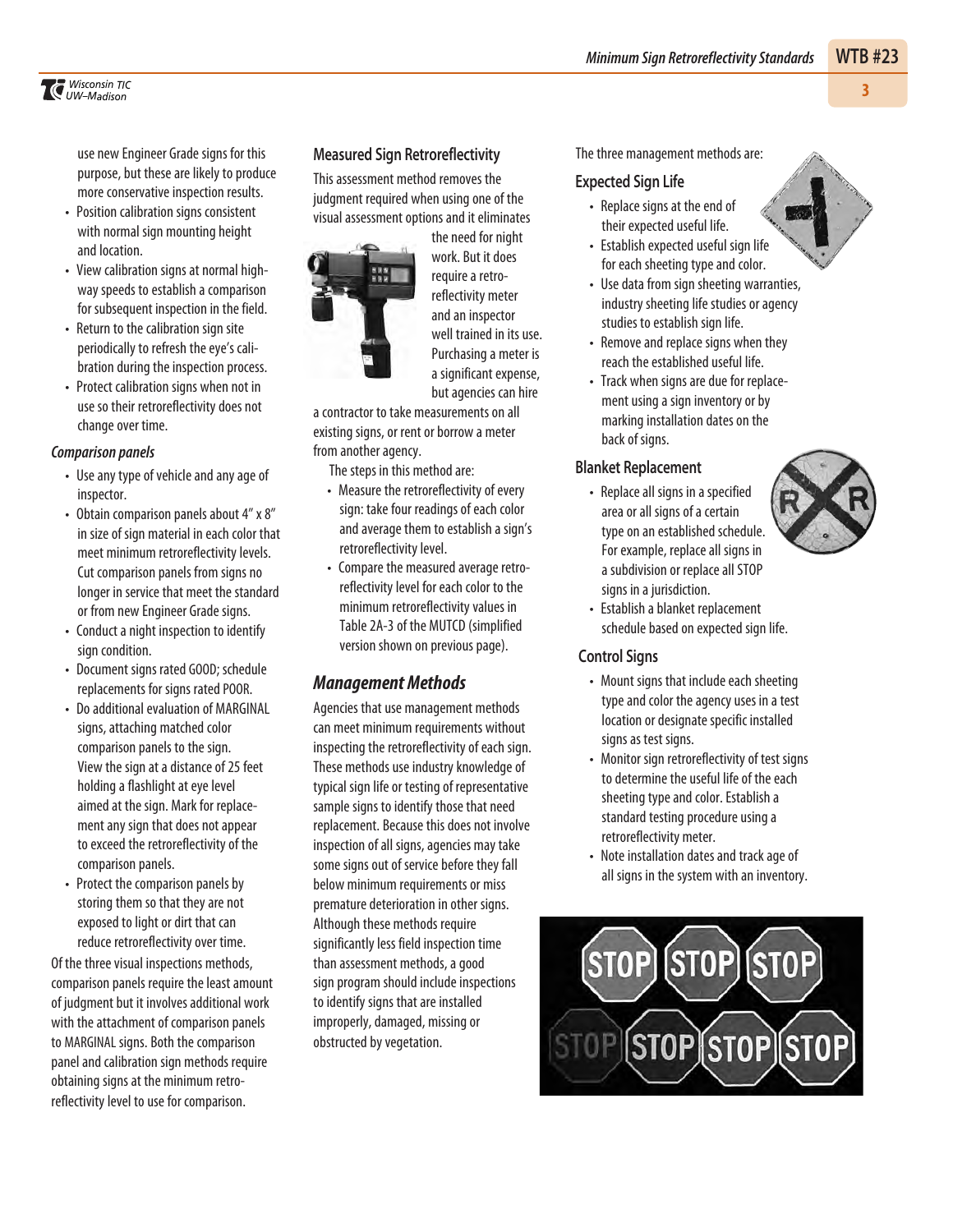### *Minimum Sign Retroreflectivity Standards* **WTB #23**

*Wisconsin TIC UW–Madison* 

use new Engineer Grade signs for this purpose, but these are likely to produce more conservative inspection results.

- Position calibration signs consistent with normal sign mounting height and location.
- View calibration signs at normal highway speeds to establish a comparison for subsequent inspection in the field.
- Return to the calibration sign site periodically to refresh the eye's calibration during the inspection process.
- Protect calibration signs when not in use so their retroreflectivity does not change over time.

#### *Comparison panels*

- Use any type of vehicle and any age of inspector.
- Obtain comparison panels about 4" x 8" in size of sign material in each color that meet minimum retroreflectivity levels. Cut comparison panels from signs no longer in service that meet the standard or from new Engineer Grade signs.
- Conduct a night inspection to identify sign condition.
- Document signs rated GOOD; schedule replacements for signs rated POOR.
- Do additional evaluation of MARGINAL signs, attaching matched color comparison panels to the sign. View the sign at a distance of 25 feet holding a flashlight at eye level aimed at the sign. Mark for replacement any sign that does not appear to exceed the retroreflectivity of the comparison panels.
- Protect the comparison panels by storing them so that they are not exposed to light or dirt that can reduce retroreflectivity over time.

Of the three visual inspections methods, comparison panels require the least amount of judgment but it involves additional work with the attachment of comparison panels to MARGINAL signs. Both the comparison panel and calibration sign methods require obtaining signs at the minimum retroreflectivity level to use for comparison.

#### **Measured Sign Retroreflectivity**

This assessment method removes the judgment required when using one of the visual assessment options and it eliminates



the need for night work. But it does require a retroreflectivity meter and an inspector well trained in its use. Purchasing a meter is a significant expense, but agencies can hire

a contractor to take measurements on all existing signs, or rent or borrow a meter from another agency.

The steps in this method are:

- Measure the retroreflectivity of every sign: take four readings of each color and average them to establish a sign's retroreflectivity level.
- Compare the measured average retroreflectivity level for each color to the minimum retroreflectivity values in Table 2A-3 of the MUTCD (simplified version shown on previous page).

### *Management Methods*

Agencies that use management methods can meet minimum requirements without inspecting the retroreflectivity of each sign. These methods use industry knowledge of typical sign life or testing of representative sample signs to identify those that need replacement. Because this does not involve inspection of all signs, agencies may take some signs out of service before they fall below minimum requirements or miss premature deterioration in other signs. Although these methods require significantly less field inspection time than assessment methods, a good sign program should include inspections to identify signs that are installed improperly, damaged, missing or obstructed by vegetation.

#### The three management methods are:

#### **Expected Sign Life**

- Replace signs at the end of their expected useful life.
- Establish expected useful sign life for each sheeting type and color.
- Use data from sign sheeting warranties, industry sheeting life studies or agency studies to establish sign life.
- Remove and replace signs when they reach the established useful life.
- Track when signs are due for replacement using a sign inventory or by marking installation dates on the back of signs.

#### **Blanket Replacement**

• Replace all signs in a specified area or all signs of a certain type on an established schedule. For example, replace all signs in a subdivision or replace all STOP signs in a jurisdiction.



• Establish a blanket replacement schedule based on expected sign life.

#### **Control Signs**

- Mount signs that include each sheeting type and color the agency uses in a test location or designate specific installed signs as test signs.
- Monitor sign retroreflectivity of test signs to determine the useful life of the each sheeting type and color. Establish a standard testing procedure using a retroreflectivity meter.
- Note installation dates and track age of all signs in the system with an inventory.